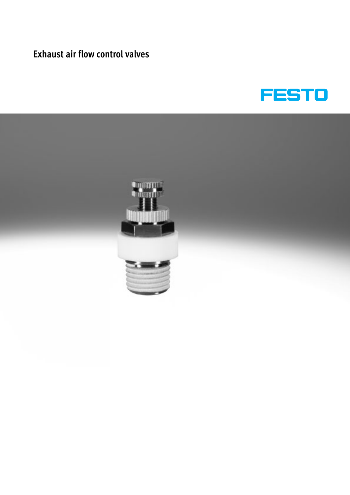# **Exhaust air flow control valves**



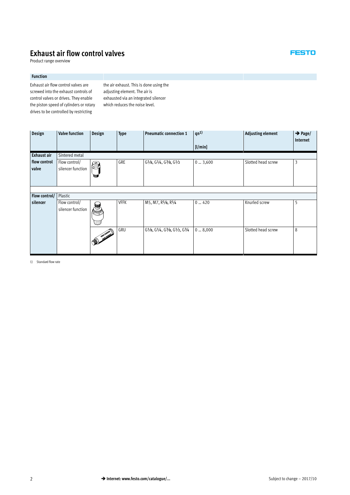# **Exhaust air flow control valves**

Product range overview

### **Function**

Exhaust air flow control valves are screwed into the exhaust controls of control valves or drives. They enable the piston speed of cylinders or rotary drives to be controlled by restricting

the air exhaust. This is done using the adjusting element. The air is exhausted via an integrated silencer which reduces the noise level.

| Design        | <b>Valve function</b> | Design         | <b>Type</b> | <b>Pneumatic connection 1</b>                                                      | $qn^{1}$ | <b>Adjusting element</b> | $\rightarrow$ Page/<br>Internet |  |  |  |  |
|---------------|-----------------------|----------------|-------------|------------------------------------------------------------------------------------|----------|--------------------------|---------------------------------|--|--|--|--|
|               |                       |                |             |                                                                                    | [l/min]  |                          |                                 |  |  |  |  |
| Exhaust air   | Sintered metal        |                |             |                                                                                    |          |                          |                                 |  |  |  |  |
| flow control  | Flow control/         | $\circledcirc$ | GRE         | $G\frac{1}{8}$ , $G\frac{1}{4}$ , $G\frac{3}{8}$ , $G\frac{1}{2}$                  | 03,600   | Slotted head screw       | 3                               |  |  |  |  |
| valve         | silencer function     |                |             |                                                                                    |          |                          |                                 |  |  |  |  |
|               |                       |                |             |                                                                                    |          |                          |                                 |  |  |  |  |
|               |                       |                |             |                                                                                    |          |                          |                                 |  |  |  |  |
|               |                       |                |             |                                                                                    |          |                          |                                 |  |  |  |  |
| Flow control/ | Plastic               |                |             |                                                                                    |          |                          |                                 |  |  |  |  |
| silencer      | Flow control/         |                | <b>VFFK</b> | M5, M7, R1/8, R1/4                                                                 | 0420     | Knurled screw            | 5                               |  |  |  |  |
|               | silencer function     | 信道             |             |                                                                                    |          |                          |                                 |  |  |  |  |
|               |                       |                |             |                                                                                    |          |                          |                                 |  |  |  |  |
|               |                       |                |             |                                                                                    |          |                          |                                 |  |  |  |  |
|               |                       | <b>AND</b>     | GRU         | $G\frac{1}{8}$ , $G\frac{1}{4}$ , $G\frac{3}{8}$ , $G\frac{1}{2}$ , $G\frac{3}{4}$ | 08,000   | Slotted head screw       | 8                               |  |  |  |  |
|               |                       |                |             |                                                                                    |          |                          |                                 |  |  |  |  |

1) Standard flow rate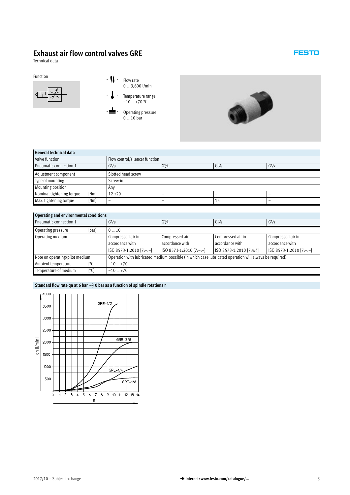# <span id="page-2-0"></span>**Exhaust air flow control valves GRE**

Technical data



0 … 3,600 l/min

- **J** - Temperature range  $-10$  ... +70 °C

 $-\bigtriangleup$  - Operating pressure  $0 \dots 10$  bar



## **General technical data**

| Valve function                 |      | Flow control/silencer function |                   |        |   |  |  |  |
|--------------------------------|------|--------------------------------|-------------------|--------|---|--|--|--|
| Pneumatic connection 1         |      | G <sup>1</sup> /8              | G <sup>1</sup> /2 |        |   |  |  |  |
| Adjustment component           |      | Slotted head screw             |                   |        |   |  |  |  |
| Type of mounting               |      | Screw-in                       |                   |        |   |  |  |  |
| Mounting position              |      | Any                            |                   |        |   |  |  |  |
| Nominal tightening torque      | [Nm] | $12 \pm 20$                    |                   | $\sim$ | - |  |  |  |
| Max. tightening torque<br>[Nm] |      |                                |                   | 15     | - |  |  |  |

| Operating and environmental conditions |                                             |                                                                                                        |                         |                         |  |  |  |  |
|----------------------------------------|---------------------------------------------|--------------------------------------------------------------------------------------------------------|-------------------------|-------------------------|--|--|--|--|
| Pneumatic connection 1                 | G <sup>3</sup> /8<br>$G^{1/8}$<br>$G^{1/4}$ |                                                                                                        |                         | G <sup>1</sup> /2       |  |  |  |  |
| [bar]<br>Operating pressure            | 010                                         |                                                                                                        |                         |                         |  |  |  |  |
| Operating medium                       | Compressed air in                           | Compressed air in                                                                                      | Compressed air in       | Compressed air in       |  |  |  |  |
|                                        | accordance with                             | accordance with<br>accordance with                                                                     |                         | accordance with         |  |  |  |  |
|                                        | ISO 8573-1:2010 [7:-:-]                     | ISO 8573-1:2010 [7:-:-]                                                                                | ISO 8573-1:2010 [7:4:4] | ISO 8573-1:2010 [7:-:-] |  |  |  |  |
| Note on operating/pilot medium         |                                             | Operation with lubricated medium possible (in which case lubricated operation will always be required) |                         |                         |  |  |  |  |
| Ambient temperature<br>[°C]            | $-10+70$                                    |                                                                                                        |                         |                         |  |  |  |  |
| Temperature of medium<br>[°C]          | $-10+70$                                    |                                                                                                        |                         |                         |  |  |  |  |

## Standard flow rate qn at 6 bar  $\rightarrow$  0 bar as a function of spindle rotations n

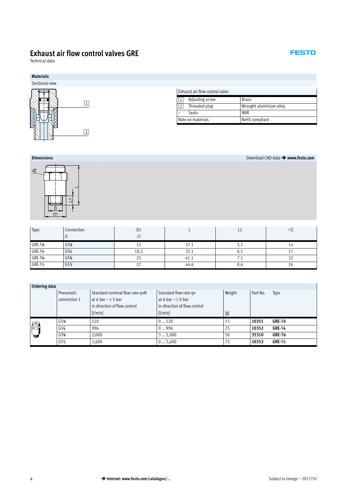# **Exhaust air flow control valves GRE**

Technical data





**Dimensions** Download CAD data - **www.festo.com**

| Type      | Connection        | D <sub>1</sub> |      |            | $=\subset$ |
|-----------|-------------------|----------------|------|------------|------------|
|           |                   | Ø              |      |            |            |
| $GRE-1/8$ | G <sup>1</sup> /8 | 15             | 27.1 | <b>J.L</b> | 14         |
| $GRE-1/4$ | G <sup>1</sup> /4 | 18.2           | 32.1 | υ. 1       |            |
| $GRE-3/8$ | $G\frac{3}{8}$    | 25             | 41.1 | $\sqrt{1}$ | 22         |
| $GRE-1/2$ | G <sup>1</sup> /2 | 27             | 44.6 | ŏ.b        | 24         |

| <b>Ordering data</b> |  |
|----------------------|--|
|                      |  |

|   | Pneumatic                     | Standard nominal flow rate gnN | Standard flow rate qn        | Weight | Part No. | Type      |
|---|-------------------------------|--------------------------------|------------------------------|--------|----------|-----------|
|   | connection 1                  | at 6 bar $\rightarrow$ 5 bar   | at 6 bar $\rightarrow$ 0 bar |        |          |           |
|   |                               | in direction of flow control   | in direction of flow control |        |          |           |
|   |                               | [1/min]                        | [1/min]                      | [g]    |          |           |
| ଛ | G <sup>1</sup> /8             | 520                            | 0520                         | 15     | 10351    | $GRE-1/8$ |
|   | G <sup>1</sup> / <sub>4</sub> | 996                            | $0 - 996$                    | 25     | 10352    | $GRE-1/4$ |
| 建 | $G^{3}/8$                     | 2,000                          | 32,000                       | 50     | 35310    | $GRE-3/8$ |
|   | G <sup>1</sup> /2             | 3,600                          | 03,600                       | 75     | 10353    | $GRE-1/2$ |

## **FESTO**

 $\overline{\phantom{a}}$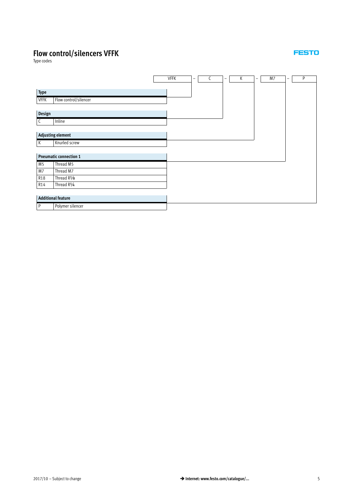# <span id="page-4-0"></span>**Flow control/silencers VFFK**

Type codes

|                |                               | <b>VFFK</b> | $\qquad \qquad -$ | C | - | К | $\overline{\phantom{m}}$ | M7 | - | P |
|----------------|-------------------------------|-------------|-------------------|---|---|---|--------------------------|----|---|---|
|                |                               |             |                   |   |   |   |                          |    |   |   |
| Type           |                               |             |                   |   |   |   |                          |    |   |   |
| <b>VFFK</b>    | Flow control/silencer         |             |                   |   |   |   |                          |    |   |   |
|                |                               |             |                   |   |   |   |                          |    |   |   |
| Design         |                               |             |                   |   |   |   |                          |    |   |   |
| $\mathsf{C}$   | Inline                        |             |                   |   |   |   |                          |    |   |   |
|                |                               |             |                   |   |   |   |                          |    |   |   |
|                | <b>Adjusting element</b>      |             |                   |   |   |   |                          |    |   |   |
| $\mathsf{K}$   | Knurled screw                 |             |                   |   |   |   |                          |    |   |   |
|                |                               |             |                   |   |   |   |                          |    |   |   |
|                | <b>Pneumatic connection 1</b> |             |                   |   |   |   |                          |    |   |   |
| M <sub>5</sub> | Thread M5                     |             |                   |   |   |   |                          |    |   |   |
| M7             | Thread M7                     |             |                   |   |   |   |                          |    |   |   |
| <b>R18</b>     | Thread R <sup>1</sup> /8      |             |                   |   |   |   |                          |    |   |   |
| R14            | Thread R1/4                   |             |                   |   |   |   |                          |    |   |   |
|                |                               |             |                   |   |   |   |                          |    |   |   |
|                | <b>Additional feature</b>     |             |                   |   |   |   |                          |    |   |   |
| P              | Polymer silencer              |             |                   |   |   |   |                          |    |   |   |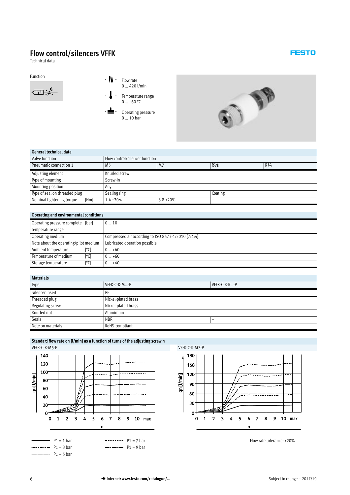# **Flow control/silencers VFFK**

Technical data



Function  $\overline{\phantom{a}}$  - Flow rate 0 … 420 l/min



Operating pressure 0 … 10 bar



## **General technical data**

| QEIIEI AL LECHIILEAL UALA         |                                |                |                             |  |  |  |  |
|-----------------------------------|--------------------------------|----------------|-----------------------------|--|--|--|--|
| Valve function                    | Flow control/silencer function |                |                             |  |  |  |  |
| Pneumatic connection 1            | M <sub>5</sub>                 | M <sub>7</sub> | $R^{1/8}$<br>$R\frac{1}{4}$ |  |  |  |  |
| Adjusting element                 | Knurled screw                  |                |                             |  |  |  |  |
| Type of mounting                  | Screw-in                       |                |                             |  |  |  |  |
| Mounting position                 | Any                            |                |                             |  |  |  |  |
| Type of seal on threaded plug     | Sealing ring                   |                | Coating                     |  |  |  |  |
| Nominal tightening torque<br>[Nm] | $1.4 \pm 20\%$                 | $3.8 \pm 20\%$ | $\sim$                      |  |  |  |  |

## **Operating and environmental conditions**

| Operating pressure complete [bar]     | $0 \dots 10$                                        |
|---------------------------------------|-----------------------------------------------------|
| temperature range                     |                                                     |
| Operating medium                      | Compressed air according to ISO 8573-1:2010 [7:4:4] |
| Note about the operating/pilot medium | Lubricated operation possible                       |
| [°C]<br>Ambient temperature           | $0 - +60$                                           |
| Temperature of medium<br>[°C]         | $0 - +60$                                           |
| [°C]<br>Storage temperature           | $0 - +60$                                           |

| <b>Materials</b>  |                                        |              |  |  |
|-------------------|----------------------------------------|--------------|--|--|
| Type              | VFFK-C-K-M-P                           | VFFK-C-K-R-P |  |  |
| Silencer insert   | <b>PE</b>                              |              |  |  |
| Threaded plug     | Nickel-plated brass                    |              |  |  |
| Regulating screw  | Nickel-plated brass                    |              |  |  |
| Knurled nut       | Aluminium                              |              |  |  |
| Seals             | <b>NBR</b><br>$\overline{\phantom{a}}$ |              |  |  |
| Note on materials | RoHS-compliant                         |              |  |  |







Flow rate tolerance: ±20%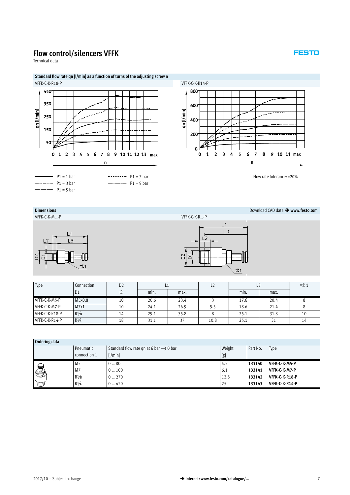## **Flow control/silencers VFFK**

Technical data

## **Standard flow rate qn [l/min] as a function of turns of the adjusting screw n**





Flow rate tolerance: ±20%

## **Dimensions** Download CAD data - **www.festo.com**

VFFK-C-K-M…-P VFFK-C-K-R…-P



|                     | L1             |  |
|---------------------|----------------|--|
|                     | L3             |  |
|                     | $\overline{2}$ |  |
|                     |                |  |
| D <sup>2</sup><br>δ |                |  |
|                     | ನ⊂1            |  |

| Type           | Connection     | D <sub>2</sub> |      |      |      | L3   |      | $\equiv$ $\in$ 1 |
|----------------|----------------|----------------|------|------|------|------|------|------------------|
|                | D <sub>1</sub> | Ø              | min. | max. |      | min. | max. |                  |
| VFFK-C-K-M5-P  | M5x0.8         | 10             | 20.6 | 23.4 |      | 17.6 | 20.4 |                  |
| VFFK-C-K-M7-P  | M7x1           | 10             | 24.1 | 26.9 | 5.5  | 18.6 | 21.4 |                  |
| VFFK-C-K-R18-P | $R\frac{1}{8}$ | 14             | 29.1 | 35.8 |      | 25.1 | 31.8 | 10               |
| VFFK-C-K-R14-P | $R^{1/4}$      | 18             | 31.1 | 37   | 10.8 | 25.1 | 21   | 14               |

| Ordering data |                |                                                    |        |          |                |
|---------------|----------------|----------------------------------------------------|--------|----------|----------------|
|               | Pneumatic      | Standard flow rate gn at 6 bar $\rightarrow$ 0 bar | Weight | Part No. | Type           |
|               | connection 1   | [1/min]                                            | [g]    |          |                |
|               | M <sub>5</sub> | 080                                                | 4.5    | 133140   | VFFK-C-K-M5-P  |
| é<br>Ø        | M7             | $0 \dots 100$                                      | 6.1    | 133141   | VFFK-C-K-M7-P  |
|               | $R\frac{1}{8}$ | $0 \dots 270$                                      | 13.5   | 133142   | VFFK-C-K-R18-P |
|               | $R\frac{1}{4}$ | $0 - 420$                                          | 25     | 133143   | VFFK-C-K-R14-P |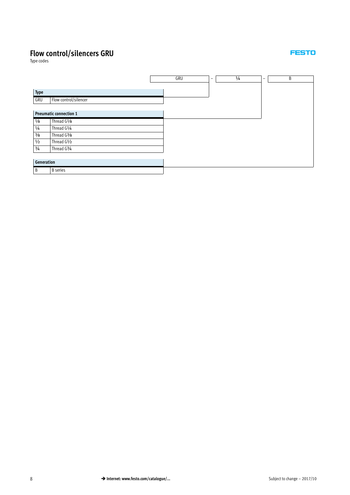# <span id="page-7-0"></span>**Flow control/silencers GRU**

Type codes

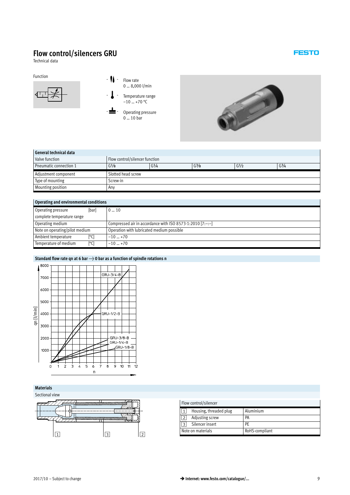# **Flow control/silencers GRU**

Technical data



Function  $\overline{\phantom{a}}$  - Flow rate 0 … 8,000 l/min

> Temperature range –10 … +70 °C

Operating pressure  $0 \dots 10$  bar



## **General technical data**

| Valve function           | Flow control/silencer function |           |           |                   |           |
|--------------------------|--------------------------------|-----------|-----------|-------------------|-----------|
| Pneumatic connection 1   | G <sup>1</sup> /8              | $G^{1/4}$ | $G^{3}/8$ | G <sup>1</sup> /2 | $G^{3/4}$ |
| Adjustment component     | Slotted head screw             |           |           |                   |           |
| Type of mounting         | Screw-in                       |           |           |                   |           |
| <b>Mounting position</b> | Anv                            |           |           |                   |           |

| Operating and environmental conditions |                                                             |  |  |  |  |
|----------------------------------------|-------------------------------------------------------------|--|--|--|--|
| [bar]<br>Operating pressure            | 010                                                         |  |  |  |  |
| complete temperature range             |                                                             |  |  |  |  |
| Operating medium                       | Compressed air in accordance with ISO 8573-1:2010 $[7:-:-]$ |  |  |  |  |
| Note on operating/pilot medium         | Operation with lubricated medium possible                   |  |  |  |  |
| [°C]<br>Ambient temperature            | $-10+70$                                                    |  |  |  |  |
| Temperature of medium<br>[°C]          | $-10+70$                                                    |  |  |  |  |

## Standard flow rate qn at 6 bar  $\rightarrow$  0 bar as a function of spindle rotations n



## **Materials**

Sectional view



| ew |   |                |                |                        |                |  |  |
|----|---|----------------|----------------|------------------------|----------------|--|--|
|    |   |                |                | Flow control/silencer  |                |  |  |
|    |   |                | 1              | Housing, threaded plug | Aluminium      |  |  |
|    |   |                | $\overline{2}$ | Adjusting screw        | PA             |  |  |
|    |   |                | 3              | Silencer insert        | PE             |  |  |
|    | ာ | $\overline{2}$ |                | Note on materials      | RoHS-compliant |  |  |
|    |   |                |                |                        |                |  |  |